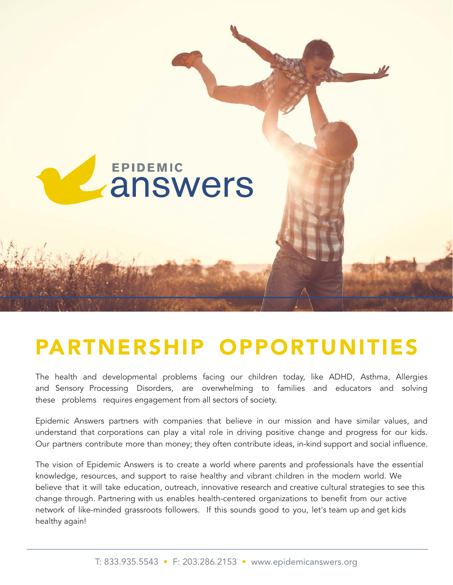

### PARTNERSHIP OPPORTUNITIES

The health and developmental problems facing our children today, like ADHD, Asthma, Allergies and Sensory Processing Disorders, are overwhelming to families and educators and solving these problems requires engagement from all sectors of society.

Epidemic Answers partners with companies that believe in our mission and have similar values, and understand that corporations can play a vital role in driving positive change and progress for our kids. Our partners contribute more than money; they often contribute ideas, in-kind support and social influence.

The vision of Epidemic Answers is to create a world where parents and professionals have the essential knowledge, resources, and support to raise healthy and vibrant children in the modern world. We believe that it will take education, outreach, innovative research and creative cultural strategies to see this change through. Partnering with us enables health-centered organizations to benefit from our active network of like-minded grassroots followers. If this sounds good to you, let's team up and get kids healthy again!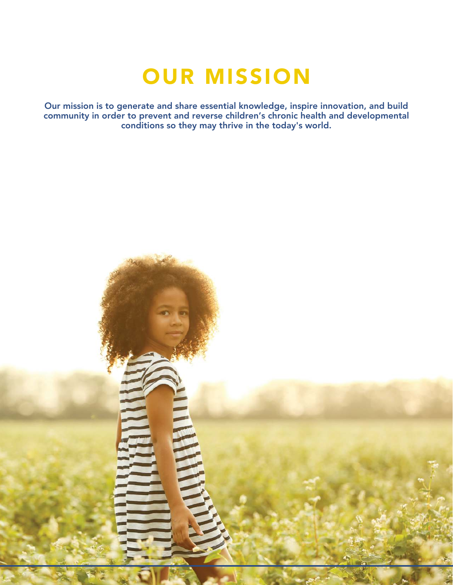### OUR MISSION

Our mission is to generate and share essential knowledge, inspire innovation, and build community in order to prevent and reverse children's chronic health and developmental conditions so they may thrive in the today's world.

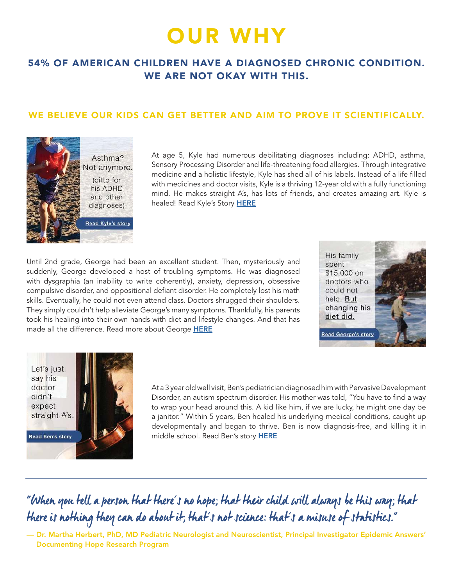# OUR WHY

#### 54% OF AMERICAN CHILDREN HAVE A DIAGNOSED CHRONIC CONDITION. WE ARE NOT OKAY WITH THIS.

#### WE BELIEVE OUR KIDS CAN GET BETTER AND AIM TO PROVE IT SCIENTIFICALLY.



At age 5, Kyle had numerous debilitating diagnoses including: ADHD, asthma, Sensory Processing Disorder and life-threatening food allergies. Through integrative medicine and a holistic lifestyle, Kyle has shed all of his labels. Instead of a life filled with medicines and doctor visits, Kyle is a thriving 12-year old with a fully functioning mind. He makes straight A's, has lots of friends, and creates amazing art. Kyle is healed! Read Kyle's Story [HERE](https://documentinghope.com/kyle/)

Until 2nd grade, George had been an excellent student. Then, mysteriously and suddenly, George developed a host of troubling symptoms. He was diagnosed with dysgraphia (an inability to write coherently), anxiety, depression, obsessive compulsive disorder, and oppositional defiant disorder. He completely lost his math skills. Eventually, he could not even attend class. Doctors shrugged their shoulders. They simply couldn't help alleviate George's many symptoms. Thankfully, his parents took his healing into their own hands with diet and lifestyle changes. And that has made all the difference. Read more about George [HERE](https://documentinghope.com/george/)





At a 3 year old well visit, Ben's pediatrician diagnosed him with Pervasive Development Disorder, an autism spectrum disorder. His mother was told, "You have to find a way to wrap your head around this. A kid like him, if we are lucky, he might one day be a janitor." Within 5 years, Ben healed his underlying medical conditions, caught up developmentally and began to thrive. Ben is now diagnosis-free, and killing it in middle school. Read Ben's story [HERE](https://documentinghope.com/ben/)

### "When you tell a person that there's no hope; that their child will always be this way; that there is nothing they can do about it, that's not science: that's a misuse of statistics."

— Dr. Martha Herbert, PhD, MD Pediatric Neurologist and Neuroscientist, Principal Investigator Epidemic Answers' Documenting Hope Research Program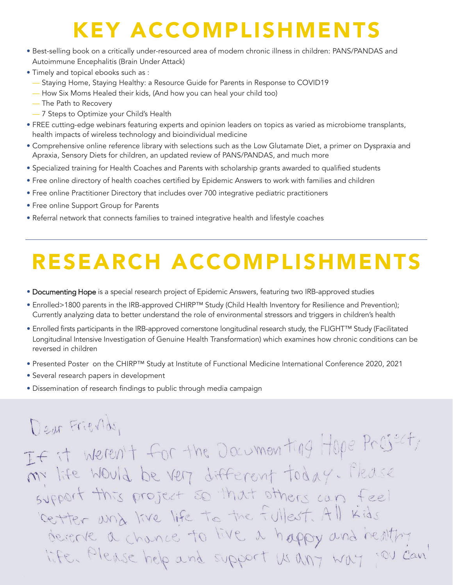## KEY ACCOMPLISHMENTS

- Best-selling book on a critically under-resourced area of modern chronic illness in children: PANS/PANDAS and Autoimmune Encephalitis (Brain Under Attack)
- Timely and topical ebooks such as :
	- Staying Home, Staying Healthy: a Resource Guide for Parents in Response to COVID19
	- How Six Moms Healed their kids, (And how you can heal your child too)
	- The Path to Recovery
	- 7 Steps to Optimize your Child's Health
- FREE cutting-edge webinars featuring experts and opinion leaders on topics as varied as microbiome transplants, health impacts of wireless technology and bioindividual medicine
- Comprehensive online reference library with selections such as the Low Glutamate Diet, a primer on Dyspraxia and Apraxia, Sensory Diets for children, an updated review of PANS/PANDAS, and much more
- Specialized training for Health Coaches and Parents with scholarship grants awarded to qualified students
- Free online directory of health coaches certified by Epidemic Answers to work with families and children
- Free online Practitioner Directory that includes over 700 integrative pediatric practitioners
- Free online Support Group for Parents
- Referral network that connects families to trained integrative health and lifestyle coaches

# RESEARCH ACCOMPLISHMENTS

- Documenting Hope is a special research project of Epidemic Answers, featuring two IRB-approved studies
- Enrolled>1800 parents in the IRB-approved CHIRP™ Study (Child Health Inventory for Resilience and Prevention); Currently analyzing data to better understand the role of environmental stressors and triggers in children's health
- Enrolled firsts participants in the IRB-approved cornerstone longitudinal research study, the FLIGHT™ Study (Facilitated Longitudinal Intensive Investigation of Genuine Health Transformation) which examines how chronic conditions can be reversed in children
- Presented Poster on the CHIRP™ Study at Institute of Functional Medicine International Conference 2020, 2021
- Several research papers in development
- Dissemination of research findings to public through media campaign

### Dear Friends, If it weren't for the Documenting Hope Preject, my life would be very different today. Please this project so that others can feel GUEDOIT cetter und live life to the fullest. All kids descrie a chance to live a happy and healthy OU Can life. Please help and support us any way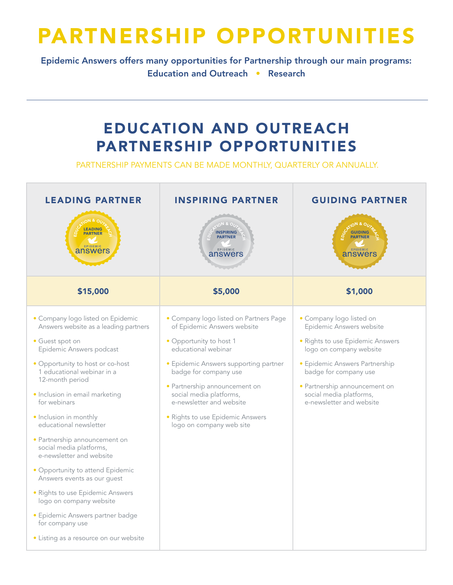## PARTNERSHIP OPPORTUNITIES

Epidemic Answers offers many opportunities for Partnership through our main programs: Education and Outreach • Research

### EDUCATION AND OUTREACH PARTNERSHIP OPPORTUNITIES

PARTNERSHIP PAYMENTS CAN BE MADE MONTHLY, QUARTERLY OR ANNUALLY.

| <b>LEADING PARTNER</b>                                                                                                                                                                                                                                                                                                                                                                                                                                                                                                                                                                                                                          | <b>INSPIRING PARTNER</b>                                                                                                                                                                                                                                                                                                                          | <b>GUIDING PARTNER</b>                                                                                                                                                                                                                                                 |
|-------------------------------------------------------------------------------------------------------------------------------------------------------------------------------------------------------------------------------------------------------------------------------------------------------------------------------------------------------------------------------------------------------------------------------------------------------------------------------------------------------------------------------------------------------------------------------------------------------------------------------------------------|---------------------------------------------------------------------------------------------------------------------------------------------------------------------------------------------------------------------------------------------------------------------------------------------------------------------------------------------------|------------------------------------------------------------------------------------------------------------------------------------------------------------------------------------------------------------------------------------------------------------------------|
| <b>LEADING</b><br><b>PARTNER</b><br><b>EPIDEMIC</b><br>answers                                                                                                                                                                                                                                                                                                                                                                                                                                                                                                                                                                                  | <b>ON &amp; O</b><br><b>INSPIRING</b><br><b>PARTNER</b><br>EPIDEMIC<br>answers                                                                                                                                                                                                                                                                    | <b>GUIDING</b><br><b>PARTNER</b><br>EPIDEMIC<br>answers                                                                                                                                                                                                                |
| \$15,000                                                                                                                                                                                                                                                                                                                                                                                                                                                                                                                                                                                                                                        | \$5,000                                                                                                                                                                                                                                                                                                                                           | \$1,000                                                                                                                                                                                                                                                                |
| • Company logo listed on Epidemic<br>Answers website as a leading partners<br>• Guest spot on<br>Epidemic Answers podcast<br>• Opportunity to host or co-host<br>1 educational webinar in a<br>12-month period<br>· Inclusion in email marketing<br>for webinars<br>· Inclusion in monthly<br>educational newsletter<br>· Partnership announcement on<br>social media platforms,<br>e-newsletter and website<br>• Opportunity to attend Epidemic<br>Answers events as our guest<br>· Rights to use Epidemic Answers<br>logo on company website<br>· Epidemic Answers partner badge<br>for company use<br>• Listing as a resource on our website | · Company logo listed on Partners Page<br>of Epidemic Answers website<br>· Opportunity to host 1<br>educational webinar<br>· Epidemic Answers supporting partner<br>badge for company use<br>· Partnership announcement on<br>social media platforms,<br>e-newsletter and website<br>· Rights to use Epidemic Answers<br>logo on company web site | · Company logo listed on<br>Epidemic Answers website<br>· Rights to use Epidemic Answers<br>logo on company website<br>· Epidemic Answers Partnership<br>badge for company use<br>· Partnership announcement on<br>social media platforms,<br>e-newsletter and website |